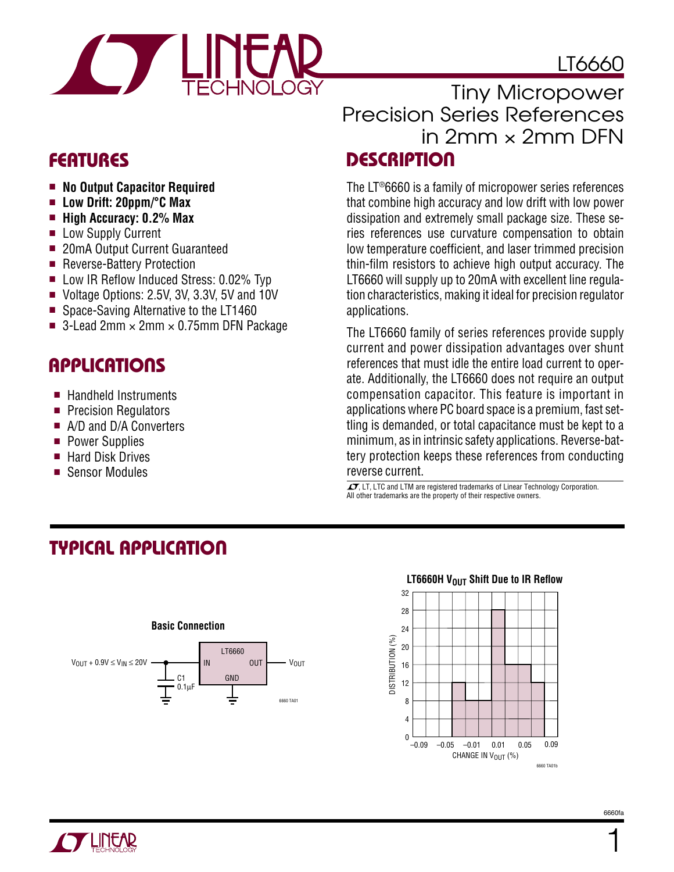



- **No Output Capacitor Required**
- **Low Drift: 20ppm/°C Max**
- **High Accuracy: 0.2% Max**
- Low Supply Current
- 20mA Output Current Guaranteed
- Reverse-Battery Protection
- Low IR Reflow Induced Stress: 0.02% Typ
- Voltage Options: 2.5V, 3V, 3.3V, 5V and 10V
- Space-Saving Alternative to the LT1460
- 3-Lead 2mm  $\times$  2mm  $\times$  0.75mm DFN Package

### **APPLICATIO S**  $\overline{\phantom{0}}$

- Handheld Instruments
- Precision Regulators
- A/D and D/A Converters
- Power Supplies
- Hard Disk Drives
- Sensor Modules

### Tiny Micropower Precision Series References in 2mm × 2mm DFN **FEATURES DESCRIPTIO U**

The LT®6660 is a family of micropower series references that combine high accuracy and low drift with low power dissipation and extremely small package size. These series references use curvature compensation to obtain low temperature coefficient, and laser trimmed precision thin-film resistors to achieve high output accuracy. The LT6660 will supply up to 20mA with excellent line regulation characteristics, making it ideal for precision regulator applications.

The LT6660 family of series references provide supply current and power dissipation advantages over shunt references that must idle the entire load current to operate. Additionally, the LT6660 does not require an output compensation capacitor. This feature is important in applications where PC board space is a premium, fast settling is demanded, or total capacitance must be kept to a minimum, as in intrinsic safety applications. Reverse-battery protection keeps these references from conducting reverse current.

 $T$ , LT, LTC and LTM are registered trademarks of Linear Technology Corporation. All other trademarks are the property of their respective owners.

# **TYPICAL APPLICATIO U**



#### **LT6660H V<sub>OUT</sub> Shift Due to IR Reflow**



6660fa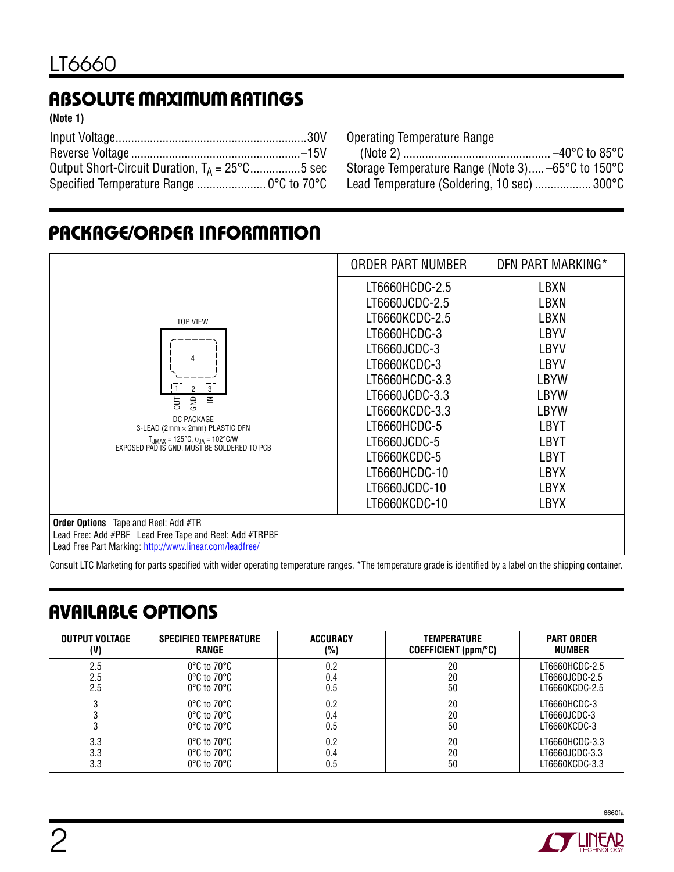# **ABSOLUTE MAXIMUM RATINGS**

**(Note 1)**

| Output Short-Circuit Duration, $T_A = 25^{\circ}$ C5 sec |  |
|----------------------------------------------------------|--|
|                                                          |  |

Operating Temperature Range

| Storage Temperature Range (Note 3) –65°C to 150°C |  |
|---------------------------------------------------|--|
| Lead Temperature (Soldering, 10 sec)  300°C       |  |

### **PACKAGE/ORDER INFORMATION**

|                                                                                                                                                                                                                                                                                | ORDER PART NUMBER                                                                                                                                                                                                                                           | DFN PART MARKING*                                                                                                                                                                          |
|--------------------------------------------------------------------------------------------------------------------------------------------------------------------------------------------------------------------------------------------------------------------------------|-------------------------------------------------------------------------------------------------------------------------------------------------------------------------------------------------------------------------------------------------------------|--------------------------------------------------------------------------------------------------------------------------------------------------------------------------------------------|
| <b>TOP VIEW</b><br>Δ<br>$\sqrt{2}$ $\sqrt{3}$<br>-11<br>ЭM<br>≧<br>$\overline{5}$<br>DC PACKAGE<br>3-LEAD (2mm × 2mm) PLASTIC DFN<br>$T_{JMAX}$ = 125°C, $\theta_{JA}$ = 102°C/W<br>EXPOSED PAD IS GND. MUST BE SOLDERED TO PCB<br><b>Order Options</b> Tape and Reel: Add #TR | LT6660HCDC-2.5<br>LT6660JCDC-2.5<br>LT6660KCDC-2.5<br>LT6660HCDC-3<br>LT6660JCDC-3<br>LT6660KCDC-3<br>LT6660HCDC-3.3<br>LT6660JCDC-3.3<br>LT6660KCDC-3.3<br>LT6660HCDC-5<br>LT6660JCDC-5<br>LT6660KCDC-5<br>LT6660HCDC-10<br>LT6660JCDC-10<br>LT6660KCDC-10 | LBXN<br>LBXN<br>LBXN<br><b>LBYV</b><br><b>LBYV</b><br><b>LBYV</b><br><b>LBYW</b><br><b>LBYW</b><br><b>LBYW</b><br>LBYT<br>LBYT<br><b>LBYT</b><br><b>LBYX</b><br><b>LBYX</b><br><b>LBYX</b> |
| Lead Free: Add #PBF Lead Free Tape and Reel: Add #TRPBF<br>Lead Free Part Marking: http://www.linear.com/leadfree/                                                                                                                                                             |                                                                                                                                                                                                                                                             |                                                                                                                                                                                            |

Consult LTC Marketing for parts specified with wider operating temperature ranges. \*The temperature grade is identified by a label on the shipping container.

# **AVAILABLE OPTIONS**

| <b>OUTPUT VOLTAGE</b> | <b>SPECIFIED TEMPERATURE</b>     | <b>ACCURACY</b> | TEMPERATURE                | <b>PART ORDER</b> |
|-----------------------|----------------------------------|-----------------|----------------------------|-------------------|
| (V)                   | RANGE                            | (%)             | $COEFFICIENT$ (ppm/ $°C$ ) | <b>NUMBER</b>     |
| 2.5                   | $0^{\circ}$ C to 70 $^{\circ}$ C | 0.2             | 20                         | LT6660HCDC-2.5    |
| 2.5                   | $0^{\circ}$ C to 70 $^{\circ}$ C | 0.4             | 20                         | LT6660JCDC-2.5    |
| 2.5                   | $0^{\circ}$ C to 70 $^{\circ}$ C | 0.5             | 50                         | LT6660KCDC-2.5    |
|                       | $0^{\circ}$ C to 70 $^{\circ}$ C | 0.2             | 20                         | LT6660HCDC-3      |
|                       | $0^{\circ}$ C to $70^{\circ}$ C  | 0.4             | 20                         | LT6660JCDC-3      |
|                       | $0^{\circ}$ C to 70 $^{\circ}$ C | 0.5             | 50                         | LT6660KCDC-3      |
| 3.3                   | $0^{\circ}$ C to $70^{\circ}$ C  | 0.2             | 20                         | LT6660HCDC-3.3    |
| 3.3                   | $0^{\circ}$ C to 70 $^{\circ}$ C | 0.4             | 20                         | LT6660JCDC-3.3    |
| 3.3                   | $0^{\circ}$ C to 70 $^{\circ}$ C | 0.5             | 50                         | LT6660KCDC-3.3    |

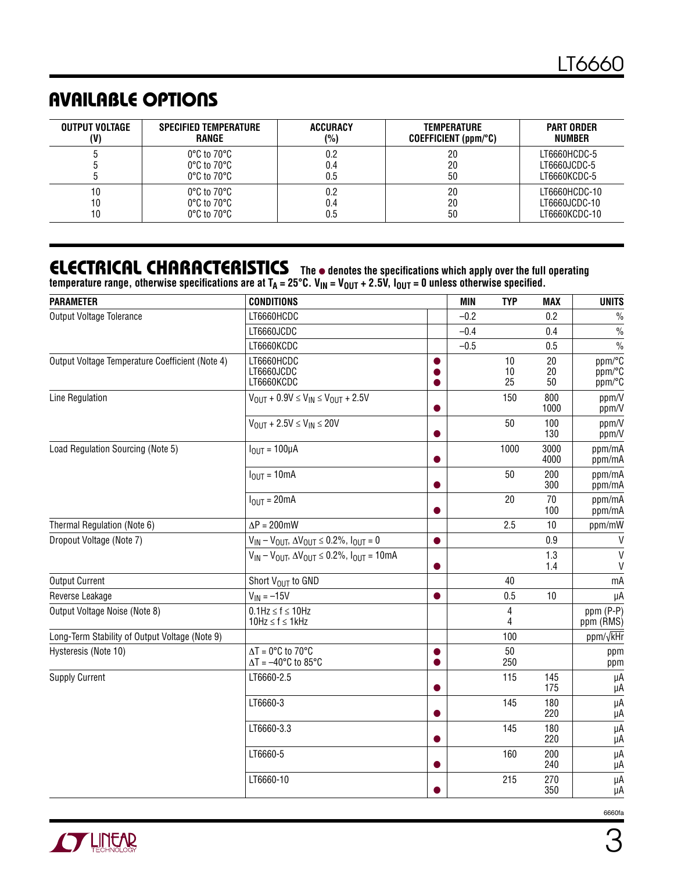## **AVAILABLE OPTIONS**

| <b>OUTPUT VOLTAGE</b> | <b>SPECIFIED TEMPERATURE</b>    | <b>ACCURACY</b> | <b>TEMPERATURE</b>   | <b>PART ORDER</b> |
|-----------------------|---------------------------------|-----------------|----------------------|-------------------|
| (V)                   | RANGE                           | (%)             | COEFFICIENT (ppm/°C) | NUMBER            |
|                       | $0^{\circ}$ C to $70^{\circ}$ C | 0.2             | 20                   | LT6660HCDC-5      |
|                       | $0^{\circ}$ C to $70^{\circ}$ C | 0.4             | 20                   | LT6660JCDC-5      |
|                       | $0^{\circ}$ C to $70^{\circ}$ C | 0.5             | 50                   | LT6660KCDC-5      |
| 10                    | $0^{\circ}$ C to $70^{\circ}$ C | 0.2             | 20                   | LT6660HCDC-10     |
| 10                    | $0^{\circ}$ C to $70^{\circ}$ C | 0.4             | 20                   | LT6660JCDC-10     |
| 10                    | $0^{\circ}$ C to $70^{\circ}$ C | 0.5             | 50                   | LT6660KCDC-10     |

### **ELECTRICAL CHARACTERISTICS**

**The** ● **denotes the specifications which apply over the full operating**  temperature range, otherwise specifications are at T<sub>A</sub> = 25°C. V<sub>IN</sub> = V<sub>OUT</sub> + 2.5V, I<sub>OUT</sub> = 0 unless otherwise specified.

| <b>PARAMETER</b>                                | <b>CONDITIONS</b>                                                     |           | <b>MIN</b> | <b>TYP</b>     | <b>MAX</b>     | <b>UNITS</b>               |
|-------------------------------------------------|-----------------------------------------------------------------------|-----------|------------|----------------|----------------|----------------------------|
| Output Voltage Tolerance                        | LT6660HCDC                                                            |           | $-0.2$     |                | 0.2            | $\%$                       |
|                                                 | LT6660JCDC                                                            |           | $-0.4$     |                | 0.4            | $\frac{0}{0}$              |
|                                                 | LT6660KCDC                                                            |           | $-0.5$     |                | 0.5            | $\frac{0}{0}$              |
| Output Voltage Temperature Coefficient (Note 4) | LT6660HCDC<br>LT6660JCDC<br>LT6660KCDC                                | 0<br>O    |            | 10<br>10<br>25 | 20<br>20<br>50 | ppm/°C<br>ppm/°C<br>ppm/°C |
| Line Regulation                                 | $V_{\text{OUT}} + 0.9V \leq V_{\text{IN}} \leq V_{\text{OUT}} + 2.5V$ | 0         |            | 150            | 800<br>1000    | ppm/V<br>ppm/V             |
|                                                 | $V_{OUT} + 2.5V \le V_{IN} \le 20V$                                   | O         |            | 50             | 100<br>130     | ppm/V<br>ppm/V             |
| Load Regulation Sourcing (Note 5)               | $IOUT = 100µA$                                                        | $\bullet$ |            | 1000           | 3000<br>4000   | ppm/mA<br>ppm/mA           |
|                                                 | $I_{OUT} = 10mA$                                                      | 0         |            | 50             | 200<br>300     | ppm/mA<br>ppm/mA           |
|                                                 | $I_{\text{OUT}} = 20 \text{mA}$                                       | 0         |            | 20             | 70<br>100      | ppm/mA<br>ppm/mA           |
| Thermal Regulation (Note 6)                     | $\Delta P = 200$ mW                                                   |           |            | 2.5            | 10             | ppm/mW                     |
| Dropout Voltage (Note 7)                        | $V_{IN} - V_{OUT}$ , $\Delta V_{OUT} \le 0.2\%$ , $I_{OUT} = 0$       | $\bullet$ |            |                | 0.9            | $\mathsf{V}$               |
|                                                 | $V_{IN} - V_{OUT}$ , $\Delta V_{OUT} \le 0.2\%$ , $I_{OUT} = 10mA$    | $\bullet$ |            |                | 1.3<br>1.4     | $\mathsf{V}$<br>V          |
| <b>Output Current</b>                           | Short V <sub>OUT</sub> to GND                                         |           |            | 40             |                | mA                         |
| Reverse Leakage                                 | $V_{IN} = -15V$                                                       | $\bullet$ |            | 0.5            | 10             | μA                         |
| Output Voltage Noise (Note 8)                   | $0.1$ Hz $\leq f \leq 10$ Hz<br>$10Hz \le f \le 1kHz$                 |           |            | 4<br>4         |                | ppm (P-P)<br>ppm (RMS)     |
| Long-Term Stability of Output Voltage (Note 9)  |                                                                       |           |            | 100            |                | ppm/√kHr                   |
| Hysteresis (Note 10)                            | $\Delta T = 0$ °C to 70°C<br>$\Delta T = -40^{\circ}C$ to 85°C        | $\bullet$ |            | 50<br>250      |                | ppm<br>ppm                 |
| <b>Supply Current</b>                           | LT6660-2.5                                                            | $\bullet$ |            | 115            | 145<br>175     | μA<br>μA                   |
|                                                 | LT6660-3                                                              | O         |            | 145            | 180<br>220     | μA<br>μA                   |
|                                                 | LT6660-3.3                                                            | 0         |            | 145            | 180<br>220     | μA<br>μA                   |
|                                                 | LT6660-5                                                              | o         |            | 160            | 200<br>240     | μA<br>μA                   |
|                                                 | LT6660-10                                                             |           |            | 215            | 270<br>350     | μA<br>μA                   |

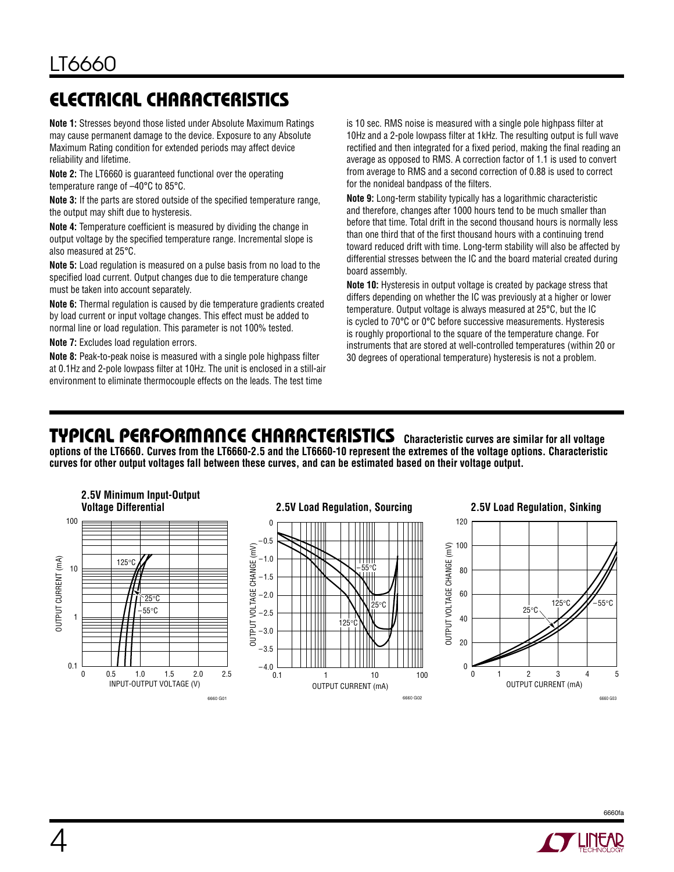# **ELECTRICAL CHARACTERISTICS**

**Note 1:** Stresses beyond those listed under Absolute Maximum Ratings may cause permanent damage to the device. Exposure to any Absolute Maximum Rating condition for extended periods may affect device reliability and lifetime.

**Note 2:** The LT6660 is guaranteed functional over the operating temperature range of –40°C to 85°C.

**Note 3:** If the parts are stored outside of the specified temperature range, the output may shift due to hysteresis.

**Note 4:** Temperature coefficient is measured by dividing the change in output voltage by the specified temperature range. Incremental slope is also measured at 25°C.

**Note 5:** Load regulation is measured on a pulse basis from no load to the specified load current. Output changes due to die temperature change must be taken into account separately.

**Note 6:** Thermal regulation is caused by die temperature gradients created by load current or input voltage changes. This effect must be added to normal line or load regulation. This parameter is not 100% tested.

**Note 7:** Excludes load regulation errors.

**Note 8:** Peak-to-peak noise is measured with a single pole highpass filter at 0.1Hz and 2-pole lowpass filter at 10Hz. The unit is enclosed in a still-air environment to eliminate thermocouple effects on the leads. The test time

is 10 sec. RMS noise is measured with a single pole highpass filter at 10Hz and a 2-pole lowpass filter at 1kHz. The resulting output is full wave rectified and then integrated for a fixed period, making the final reading an average as opposed to RMS. A correction factor of 1.1 is used to convert from average to RMS and a second correction of 0.88 is used to correct for the nonideal bandpass of the filters.

**Note 9:** Long-term stability typically has a logarithmic characteristic and therefore, changes after 1000 hours tend to be much smaller than before that time. Total drift in the second thousand hours is normally less than one third that of the first thousand hours with a continuing trend toward reduced drift with time. Long-term stability will also be affected by differential stresses between the IC and the board material created during board assembly.

**Note 10:** Hysteresis in output voltage is created by package stress that differs depending on whether the IC was previously at a higher or lower temperature. Output voltage is always measured at 25°C, but the IC is cycled to 70°C or 0°C before successive measurements. Hysteresis is roughly proportional to the square of the temperature change. For instruments that are stored at well-controlled temperatures (within 20 or 30 degrees of operational temperature) hysteresis is not a problem.

### **TYPICAL PERFORMANCE CHARACTERISTICS** Characteristic curves are similar for all voltage

**options of the LT6660. Curves from the LT6660-2.5 and the LT6660-10 represent the extremes of the voltage options. Characteristic curves for other output voltages fall between these curves, and can be estimated based on their voltage output.**



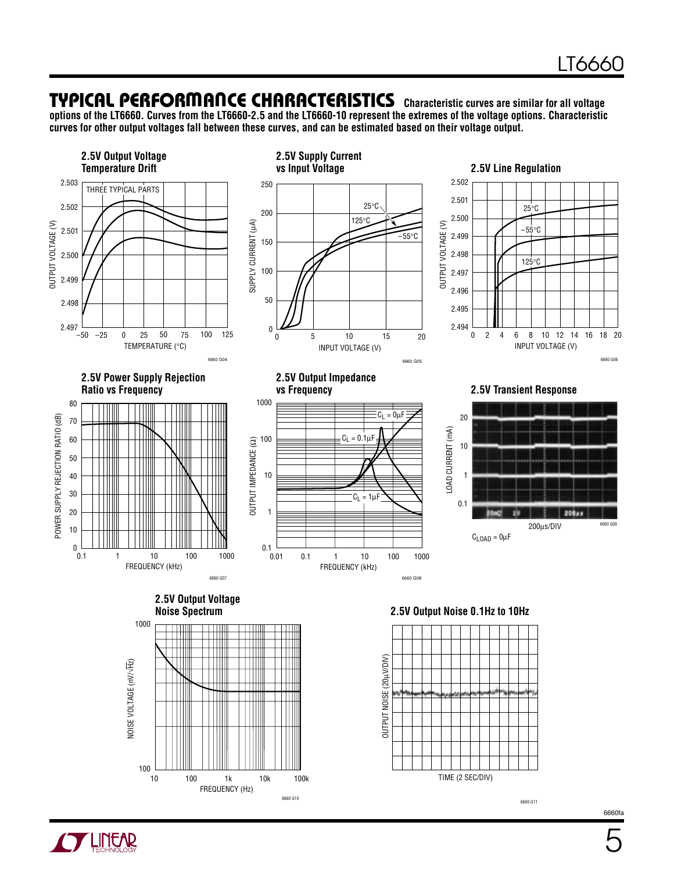### **TYPICAL PERFORMANCE CHARACTERISTICS** Characteristic curves are similar for all voltage

FREQUENCY (Hz)

6660 G10 100<sub>k</sub>

10 1k 10k

**options of the LT6660. Curves from the LT6660-2.5 and the LT6660-10 represent the extremes of the voltage options. Characteristic curves for other output voltages fall between these curves, and can be estimated based on their voltage output.**



6660fa

TIME (2 SEC/DIV)

6660 G11

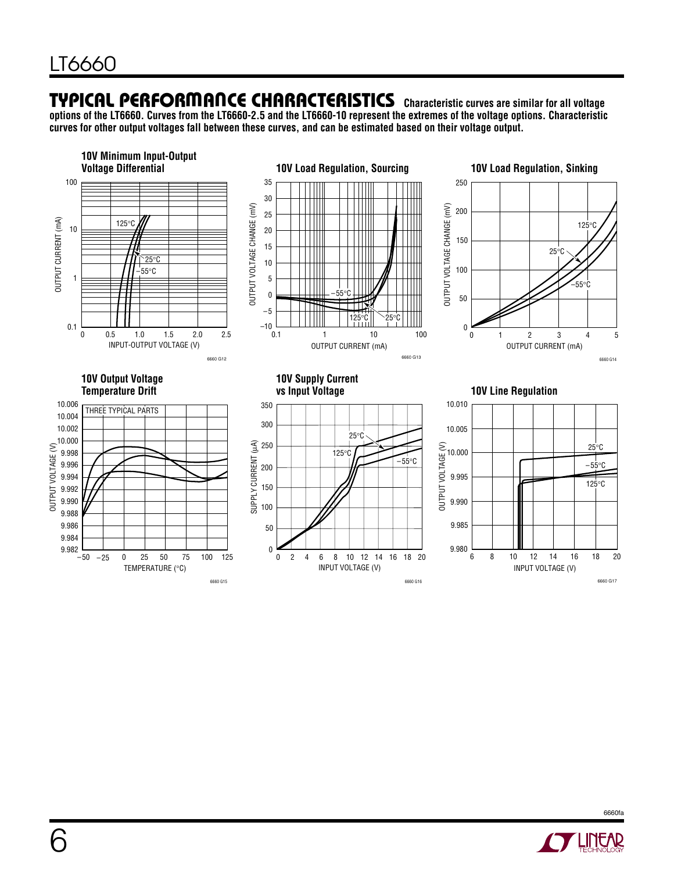### **TYPICAL PERFORMANCE CHARACTERISTICS** Characteristic curves are similar for all voltage

**options of the LT6660. Curves from the LT6660-2.5 and the LT6660-10 represent the extremes of the voltage options. Characteristic curves for other output voltages fall between these curves, and can be estimated based on their voltage output.**





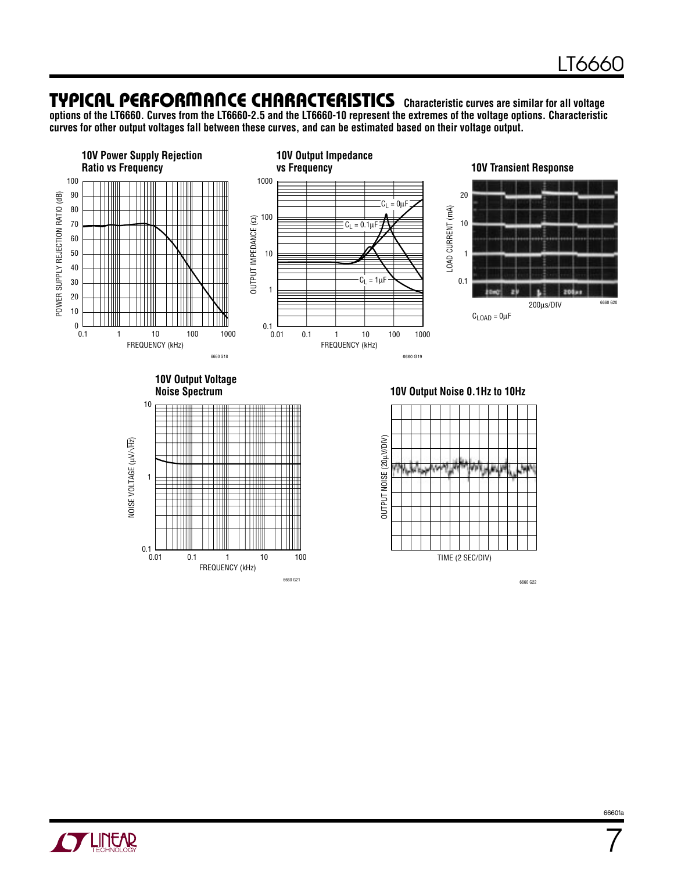### **TYPICAL PERFORMANCE CHARACTERISTICS** Characteristic curves are similar for all voltage

FREQUENCY (kHz)

0.1 1 10 100

6660 G21

**options of the LT6660. Curves from the LT6660-2.5 and the LT6660-10 represent the extremes of the voltage options. Characteristic curves for other output voltages fall between these curves, and can be estimated based on their voltage output.**



TIME (2 SEC/DIV)

6660 G22

6660fa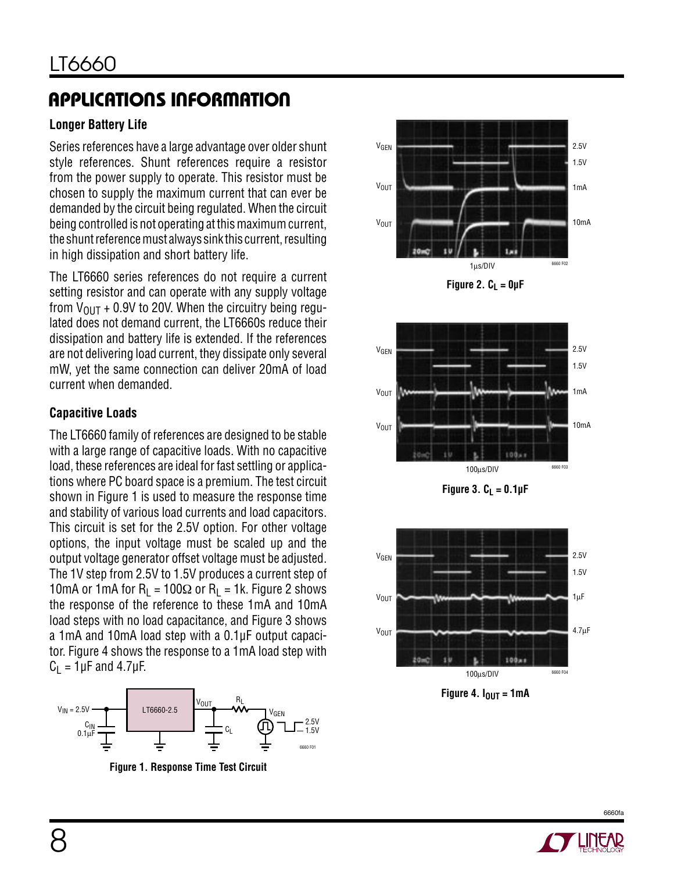# **APPLICATIONS INFORMATION**

### **Longer Battery Life**

Series references have a large advantage over older shunt style references. Shunt references require a resistor from the power supply to operate. This resistor must be chosen to supply the maximum current that can ever be demanded by the circuit being regulated. When the circuit being controlled is not operating at this maximum current, the shunt reference must always sink this current, resulting in high dissipation and short battery life.

The LT6660 series references do not require a current setting resistor and can operate with any supply voltage from  $V_{\text{OUT}}$  + 0.9V to 20V. When the circuitry being regulated does not demand current, the LT6660s reduce their dissipation and battery life is extended. If the references are not delivering load current, they dissipate only several mW, yet the same connection can deliver 20mA of load current when demanded.

#### **Capacitive Loads**

The LT6660 family of references are designed to be stable with a large range of capacitive loads. With no capacitive load, these references are ideal for fast settling or applications where PC board space is a premium. The test circuit shown in Figure 1 is used to measure the response time and stability of various load currents and load capacitors. This circuit is set for the 2.5V option. For other voltage options, the input voltage must be scaled up and the output voltage generator offset voltage must be adjusted. The 1V step from 2.5V to 1.5V produces a current step of 10mA or 1mA for R<sub>L</sub> = 100 $\Omega$  or R<sub>L</sub> = 1k. Figure 2 shows the response of the reference to these 1mA and 10mA load steps with no load capacitance, and Figure 3 shows a 1mA and 10mA load step with a 0.1µF output capacitor. Figure 4 shows the response to a 1mA load step with  $C_1 = 1 \mu F$  and 4.7 $\mu F$ .



**Figure 1. Response Time Test Circuit**



Figure 2.  $C_L = 0 \mu F$ 



**Figure 3.**  $C_L = 0.1 \mu F$ 



Figure 4.  $I_{\text{OUT}} = 1 \text{mA}$ 

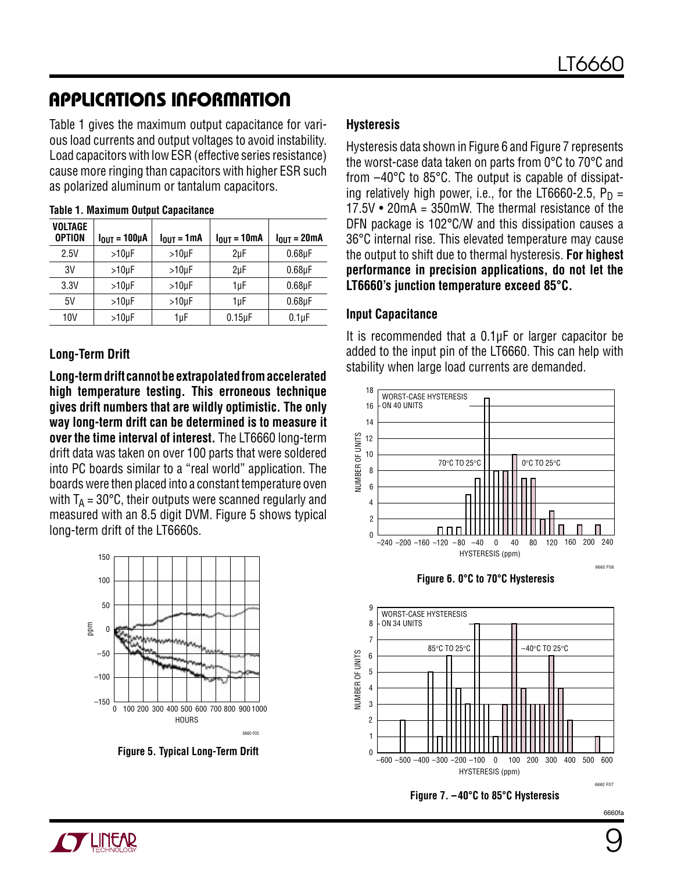# **APPLICATIONS INFORMATION**

Table 1 gives the maximum output capacitance for various load currents and output voltages to avoid instability. Load capacitors with low ESR (effective series resistance) cause more ringing than capacitors with higher ESR such as polarized aluminum or tantalum capacitors.

| <b>VOLTAGE</b><br><b>OPTION</b> | $I_{OUT} = 100 \mu A$ | $I_{OUT} = 1mA$ | $I_{OUT} = 10mA$ | $I_{\text{OUT}} = 20 \text{mA}$ |
|---------------------------------|-----------------------|-----------------|------------------|---------------------------------|
| 2.5V                            | $>10$ uF              | $>10 \mu F$     | 2uF              | $0.68$ uF                       |
| 3V                              | $>10$ uF              | $>10$ uF        | 2uF              | $0.68$ µF                       |
| 3.3V                            | $>10$ uF              | $>10$ uF        | 1µF              | $0.68$ uF                       |
| 5V                              | $>10$ uF              | $>10 \mu F$     | 1uF              | $0.68$ uF                       |
| 10V                             | $>10\mu F$            | 1µF             | $0.15\mu F$      | $0.1 \mu F$                     |

#### **Table 1. Maximum Output Capacitance**

#### **Long-Term Drift**

**Long-term drift cannot be extrapolated from accelerated high temperature testing. This erroneous technique gives drift numbers that are wildly optimistic. The only way long-term drift can be determined is to measure it over the time interval of interest.** The LT6660 long-term drift data was taken on over 100 parts that were soldered into PC boards similar to a "real world" application. The boards were then placed into a constant temperature oven with  $T_A = 30^{\circ}$ C, their outputs were scanned regularly and measured with an 8.5 digit DVM. Figure 5 shows typical long-term drift of the LT6660s.



**Figure 5. Typical Long-Term Drift**

#### **Hysteresis**

Hysteresis data shown in Figure 6 and Figure 7 represents the worst-case data taken on parts from 0°C to 70°C and from –40°C to 85°C. The output is capable of dissipating relatively high power, i.e., for the LT6660-2.5,  $P_D =$ 17.5V • 20mA = 350mW. The thermal resistance of the DFN package is 102°C/W and this dissipation causes a 36°C internal rise. This elevated temperature may cause the output to shift due to thermal hysteresis. **For highest performance in precision applications, do not let the LT6660's junction temperature exceed 85°C.**

#### **Input Capacitance**

It is recommended that a 0.1µF or larger capacitor be added to the input pin of the LT6660. This can help with stability when large load currents are demanded.







#### **Figure 7. –40°C to 85°C Hysteresis**

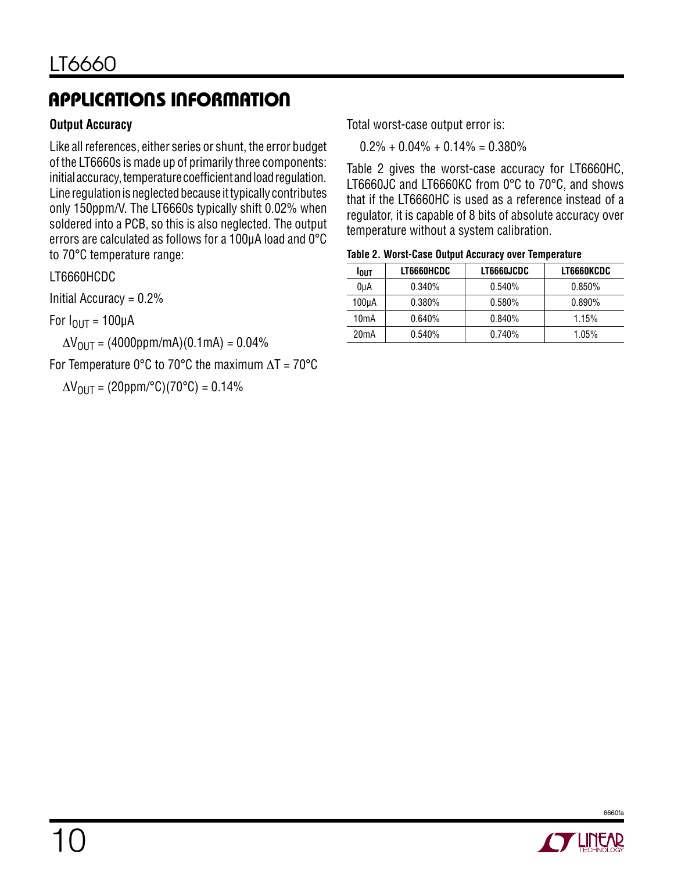# **APPLICATIONS INFORMATION**

#### **Output Accuracy**

Like all references, either series or shunt, the error budget of the LT6660s is made up of primarily three components: initial accuracy, temperature coefficient and load regulation. Line regulation is neglected because it typically contributes only 150ppm/V. The LT6660s typically shift 0.02% when soldered into a PCB, so this is also neglected. The output errors are calculated as follows for a 100µA load and 0°C to 70°C temperature range:

#### LT6660HCDC

Initial Accuracy =  $0.2\%$ 

For  $I_{\text{OUT}} = 100 \mu A$ 

 $\Delta V_{\text{OUT}} = (4000 \text{ppm/mA})(0.1 \text{mA}) = 0.04\%$ 

For Temperature 0°C to 70°C the maximum  $\Delta T = 70$ °C

 $\Delta V_{\text{OUT}} = (20 \text{ppm}/^{\circ}\text{C})(70^{\circ}\text{C}) = 0.14\%$ 

Total worst-case output error is:

 $0.2\% + 0.04\% + 0.14\% = 0.380\%$ 

Table 2 gives the worst-case accuracy for LT6660HC, LT6660JC and LT6660KC from 0°C to 70°C, and shows that if the LT6660HC is used as a reference instead of a regulator, it is capable of 8 bits of absolute accuracy over temperature without a system calibration.

| <b>LOUT</b>       | LT6660HCDC | LT6660JCDC | LT6660KCDC |
|-------------------|------------|------------|------------|
| 0uA               | 0.340%     | 0.540%     | $0.850\%$  |
| 100µA             | $0.380\%$  | $0.580\%$  | $0.890\%$  |
| 10 <sub>m</sub> A | $0.640\%$  | 0.840%     | 1.15%      |
| 20 <sub>m</sub> A | $0.540\%$  | 0.740%     | $1.05\%$   |



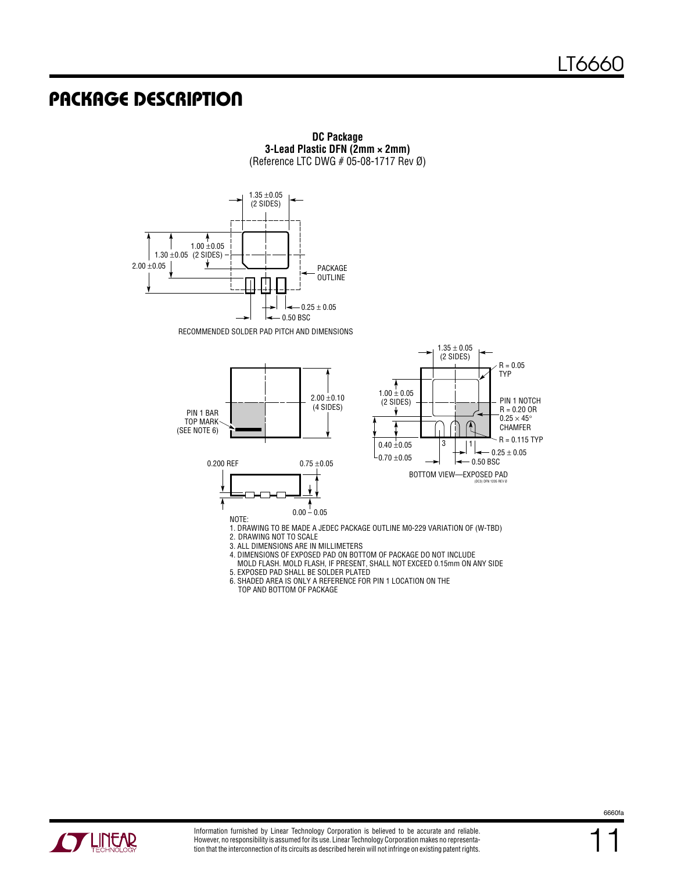### **PACKAGE DESCRIPTION**



**DC Package 3-Lead Plastic DFN (2mm × 2mm)** (Reference LTC DWG  $# 05-08-1717$  Rev Ø)